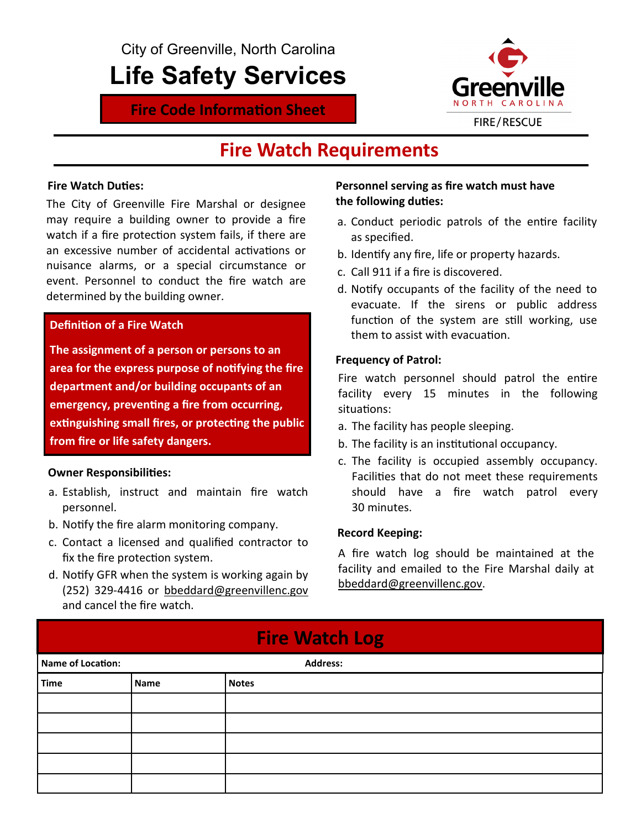City of Greenville, North Carolina

## Life Safety Services

**Fire Code Information Sheet** 



### Fire Watch Requirements

#### **Fire Watch Duties:**

The City of Greenville Fire Marshal or designee may require a building owner to provide a fire watch if a fire protection system fails, if there are an excessive number of accidental activations or nuisance alarms, or a special circumstance or event. Personnel to conduct the fire watch are determined by the building owner.

#### **Definition of a Fire Watch**

The assignment of a person or persons to an area for the express purpose of notifying the fire department and/or building occupants of an emergency, preventing a fire from occurring, extinguishing small fires, or protecting the public from fire or life safety dangers.

#### **Owner Responsibilities:**

- a. Establish, instruct and maintain fire watch personnel.
- b. Notify the fire alarm monitoring company.
- c. Contact a licensed and qualified contractor to fix the fire protection system.
- d. Notify GFR when the system is working again by (252) 329-4416 or bbeddard@greenvillenc.gov and cancel the fire watch.

#### Personnel serving as fire watch must have the following duties:

- a. Conduct periodic patrols of the entire facility as specified.
- b. Identify any fire, life or property hazards.
- c. Call 911 if a fire is discovered.
- d. Notify occupants of the facility of the need to evacuate. If the sirens or public address function of the system are still working, use them to assist with evacuation.

#### Frequency of Patrol:

Fire watch personnel should patrol the entire facility every 15 minutes in the following situations:

- a. The facility has people sleeping.
- b. The facility is an institutional occupancy.
- c. The facility is occupied assembly occupancy. Facilities that do not meet these requirements should have a fire watch patrol every 30 minutes.

#### Record Keeping:

A fire watch log should be maintained at the facility and emailed to the Fire Marshal daily at bbeddard@greenvillenc.gov.

| <b>Fire Watch Log</b>                |             |              |  |
|--------------------------------------|-------------|--------------|--|
| Name of Location:<br><b>Address:</b> |             |              |  |
| <b>Time</b>                          | <b>Name</b> | <b>Notes</b> |  |
|                                      |             |              |  |
|                                      |             |              |  |
|                                      |             |              |  |
|                                      |             |              |  |
|                                      |             |              |  |